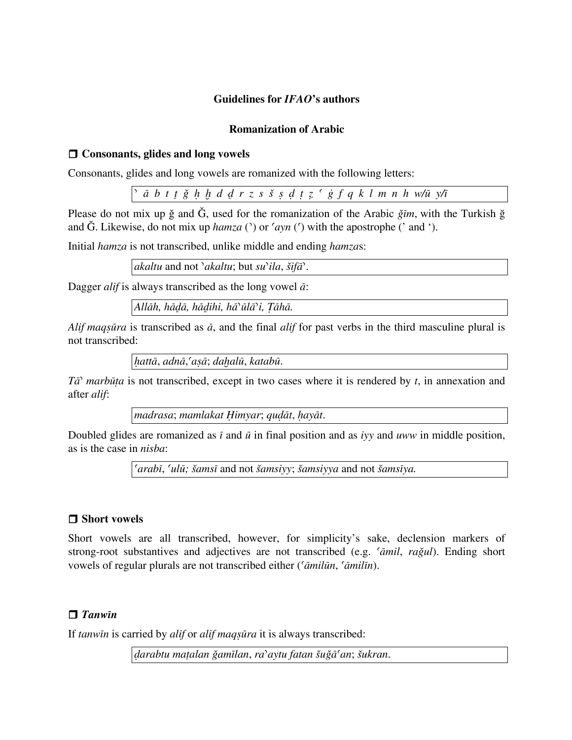### **Guidelines for** *IFAO***'s authors**

#### **Romanization of Arabic**

### □ Consonants, glides and long vowels

Consonants, glides and long vowels are romanized with the following letters:

ā b t t ğ h h d d r z s š ş d t z ' ġ f q k l m n h w/ū y/ī

Please do not mix up ǧ and Ǧ, used for the romanization of the Arabic *ǧīm*, with the Turkish ğ and  $\check{G}$ . Likewise, do not mix up *hamza* ( $\hat{G}$ ) or  $\langle \hat{G} \rangle$  with the apostrophe ( $\hat{G}$  and  $\hat{G}$ ).

Initial *hamza* is not transcribed, unlike middle and ending *hamza*s:

*akaltu* and not *ʾakaltu*; but *suʾila*, *šifāʾ*.

Dagger *alif* is always transcribed as the long vowel *ā*:

*Allāh, hāḏā, hāḏihi, hāʾūlāʾi, Ṭāhā.*

*Alif maqṣūra* is transcribed as *ā*, and the final *alif* for past verbs in the third masculine plural is not transcribed:

*ḥattā*, *adnā*,*ʿaṣā*; *daḫalū*, *katabū*.

*Tāʾ marbūṭa* is not transcribed, except in two cases where it is rendered by *t*, in annexation and after *alif*:

*madrasa*; *mamlakat Ḥimyar*; *quḍāt*, *ḥayāt*.

Doubled glides are romanized as *ī* and *ū* in final position and as *iyy* and *uww* in middle position, as is the case in *nisba*:

*ʿarabī*, *ʿulū; šamsī* and not *šamsiyy*; *šamsiyya* and not *šamsīya.*

### □ Short vowels

Short vowels are all transcribed, however, for simplicity's sake, declension markers of strong-root substantives and adjectives are not transcribed (e.g. *ʿāmil*, *raǧul*). Ending short vowels of regular plurals are not transcribed either (*ʿāmilūn*, *ʿāmilīn*).

# r *Tanwīn*

If *tanwīn* is carried by *alif* or *alif maqṣūra* it is always transcribed:

*ḍarabtu maṯalan ǧamīlan*, *raʾaytu fatan šuǧāʿan*; *šukran*.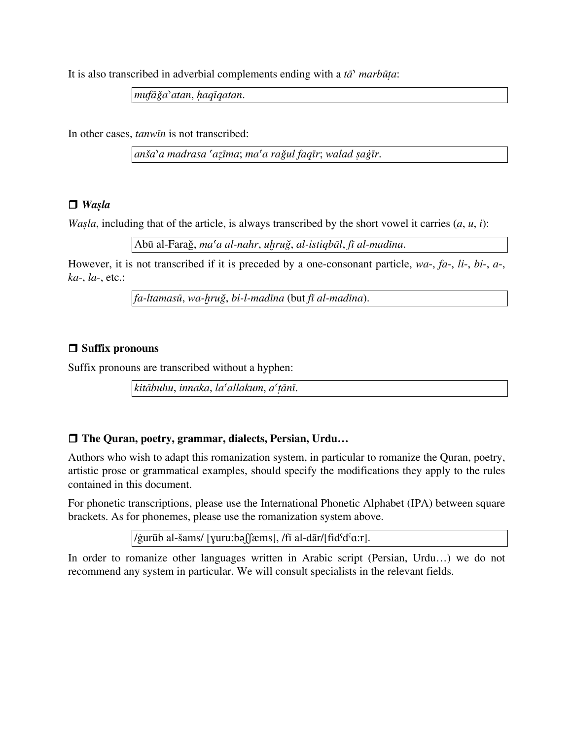It is also transcribed in adverbial complements ending with a *tāʾ marbūṭa*:

*mufāǧaʾatan*, *ḥaqīqatan*.

In other cases, *tanwīn* is not transcribed:

*anšaʾa madrasa ʿaẓīma*; *maʿa raǧul faqīr*; *walad ṣaġīr*.

### $\Box$  *Waşla*

*Wasla*, including that of the article, is always transcribed by the short vowel it carries  $(a, u, i)$ :

Abū al-Faraǧ, *maʿa al-nahr*, *uḫruǧ*, *al-istiqbāl*, *fī al-madīna*.

However, it is not transcribed if it is preceded by a one-consonant particle, *wa*-, *fa*-, *li*-, *bi*-, *a*-, *ka*-, *la*-, etc.:

*fa-ltamasū*, *wa-ḫruǧ*, *bi-l-madīna* (but *fī al-madīna*).

### $\Box$  Suffix pronouns

Suffix pronouns are transcribed without a hyphen:

*kitābuhu*, *innaka*, *laʿallakum*, *aʿṭānī*.

### □ The Quran, poetry, grammar, dialects, Persian, Urdu...

Authors who wish to adapt this romanization system, in particular to romanize the Quran, poetry, artistic prose or grammatical examples, should specify the modifications they apply to the rules contained in this document.

For phonetic transcriptions, please use the International Phonetic Alphabet (IPA) between square brackets. As for phonemes, please use the romanization system above.

/ġurūb al-šams/ [ɣuru:bəʃʃæms], /fī al-dār/[fidˤdˤɑ:r].

In order to romanize other languages written in Arabic script (Persian, Urdu…) we do not recommend any system in particular. We will consult specialists in the relevant fields.